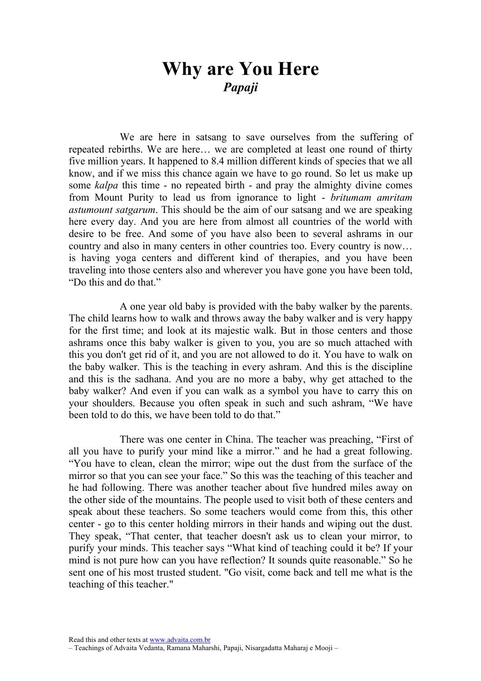## Why are You Here Papaji

We are here in satsang to save ourselves from the suffering of repeated rebirths. We are here… we are completed at least one round of thirty five million years. It happened to 8.4 million different kinds of species that we all know, and if we miss this chance again we have to go round. So let us make up some *kalpa* this time - no repeated birth - and pray the almighty divine comes from Mount Purity to lead us from ignorance to light - britumam amritam astumount satgarum. This should be the aim of our satsang and we are speaking here every day. And you are here from almost all countries of the world with desire to be free. And some of you have also been to several ashrams in our country and also in many centers in other countries too. Every country is now… is having yoga centers and different kind of therapies, and you have been traveling into those centers also and wherever you have gone you have been told, "Do this and do that"

A one year old baby is provided with the baby walker by the parents. The child learns how to walk and throws away the baby walker and is very happy for the first time; and look at its majestic walk. But in those centers and those ashrams once this baby walker is given to you, you are so much attached with this you don't get rid of it, and you are not allowed to do it. You have to walk on the baby walker. This is the teaching in every ashram. And this is the discipline and this is the sadhana. And you are no more a baby, why get attached to the baby walker? And even if you can walk as a symbol you have to carry this on your shoulders. Because you often speak in such and such ashram, "We have been told to do this, we have been told to do that."

There was one center in China. The teacher was preaching, "First of all you have to purify your mind like a mirror." and he had a great following. "You have to clean, clean the mirror; wipe out the dust from the surface of the mirror so that you can see your face." So this was the teaching of this teacher and he had following. There was another teacher about five hundred miles away on the other side of the mountains. The people used to visit both of these centers and speak about these teachers. So some teachers would come from this, this other center - go to this center holding mirrors in their hands and wiping out the dust. They speak, "That center, that teacher doesn't ask us to clean your mirror, to purify your minds. This teacher says "What kind of teaching could it be? If your mind is not pure how can you have reflection? It sounds quite reasonable." So he sent one of his most trusted student. "Go visit, come back and tell me what is the teaching of this teacher."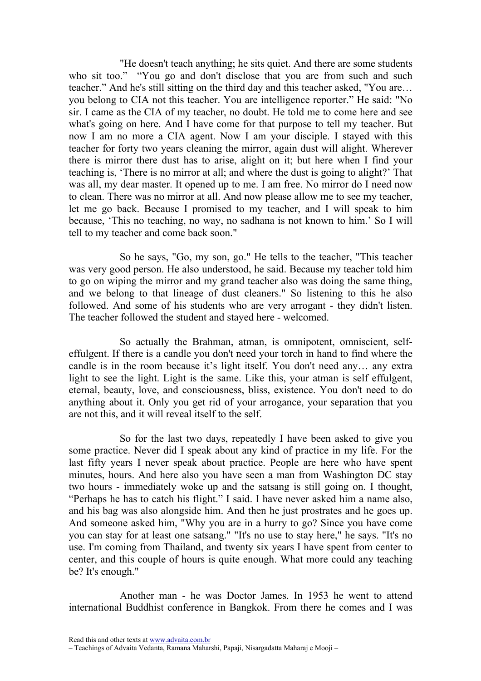"He doesn't teach anything; he sits quiet. And there are some students who sit too." "You go and don't disclose that you are from such and such teacher." And he's still sitting on the third day and this teacher asked, "You are… you belong to CIA not this teacher. You are intelligence reporter." He said: "No sir. I came as the CIA of my teacher, no doubt. He told me to come here and see what's going on here. And I have come for that purpose to tell my teacher. But now I am no more a CIA agent. Now I am your disciple. I stayed with this teacher for forty two years cleaning the mirror, again dust will alight. Wherever there is mirror there dust has to arise, alight on it; but here when I find your teaching is, 'There is no mirror at all; and where the dust is going to alight?' That was all, my dear master. It opened up to me. I am free. No mirror do I need now to clean. There was no mirror at all. And now please allow me to see my teacher, let me go back. Because I promised to my teacher, and I will speak to him because, 'This no teaching, no way, no sadhana is not known to him.' So I will tell to my teacher and come back soon."

So he says, "Go, my son, go." He tells to the teacher, "This teacher was very good person. He also understood, he said. Because my teacher told him to go on wiping the mirror and my grand teacher also was doing the same thing, and we belong to that lineage of dust cleaners." So listening to this he also followed. And some of his students who are very arrogant - they didn't listen. The teacher followed the student and stayed here - welcomed.

So actually the Brahman, atman, is omnipotent, omniscient, selfeffulgent. If there is a candle you don't need your torch in hand to find where the candle is in the room because it's light itself. You don't need any… any extra light to see the light. Light is the same. Like this, your atman is self effulgent, eternal, beauty, love, and consciousness, bliss, existence. You don't need to do anything about it. Only you get rid of your arrogance, your separation that you are not this, and it will reveal itself to the self.

So for the last two days, repeatedly I have been asked to give you some practice. Never did I speak about any kind of practice in my life. For the last fifty years I never speak about practice. People are here who have spent minutes, hours. And here also you have seen a man from Washington DC stay two hours - immediately woke up and the satsang is still going on. I thought, "Perhaps he has to catch his flight." I said. I have never asked him a name also, and his bag was also alongside him. And then he just prostrates and he goes up. And someone asked him, "Why you are in a hurry to go? Since you have come you can stay for at least one satsang." "It's no use to stay here," he says. "It's no use. I'm coming from Thailand, and twenty six years I have spent from center to center, and this couple of hours is quite enough. What more could any teaching be? It's enough."

Another man - he was Doctor James. In 1953 he went to attend international Buddhist conference in Bangkok. From there he comes and I was

Read this and other texts at www.advaita.com.br

<sup>–</sup> Teachings of Advaita Vedanta, Ramana Maharshi, Papaji, Nisargadatta Maharaj e Mooji –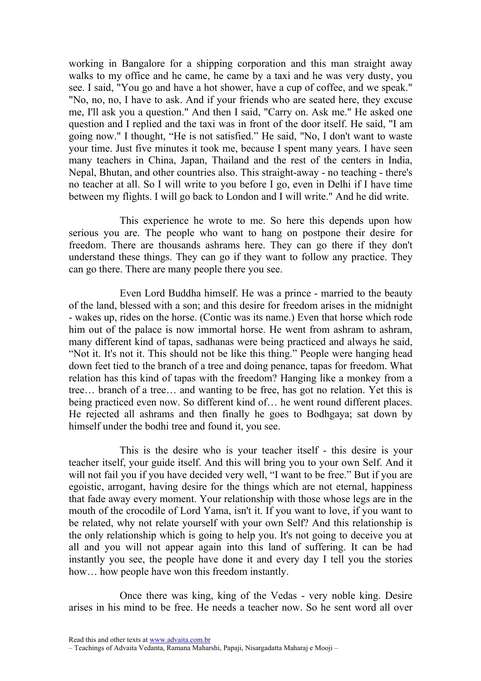working in Bangalore for a shipping corporation and this man straight away walks to my office and he came, he came by a taxi and he was very dusty, you see. I said, "You go and have a hot shower, have a cup of coffee, and we speak." "No, no, no, I have to ask. And if your friends who are seated here, they excuse me, I'll ask you a question." And then I said, "Carry on. Ask me." He asked one question and I replied and the taxi was in front of the door itself. He said, "I am going now." I thought, "He is not satisfied." He said, "No, I don't want to waste your time. Just five minutes it took me, because I spent many years. I have seen many teachers in China, Japan, Thailand and the rest of the centers in India, Nepal, Bhutan, and other countries also. This straight-away - no teaching - there's no teacher at all. So I will write to you before I go, even in Delhi if I have time between my flights. I will go back to London and I will write." And he did write.

This experience he wrote to me. So here this depends upon how serious you are. The people who want to hang on postpone their desire for freedom. There are thousands ashrams here. They can go there if they don't understand these things. They can go if they want to follow any practice. They can go there. There are many people there you see.

Even Lord Buddha himself. He was a prince - married to the beauty of the land, blessed with a son; and this desire for freedom arises in the midnight - wakes up, rides on the horse. (Contic was its name.) Even that horse which rode him out of the palace is now immortal horse. He went from ashram to ashram, many different kind of tapas, sadhanas were being practiced and always he said, "Not it. It's not it. This should not be like this thing." People were hanging head down feet tied to the branch of a tree and doing penance, tapas for freedom. What relation has this kind of tapas with the freedom? Hanging like a monkey from a tree… branch of a tree… and wanting to be free, has got no relation. Yet this is being practiced even now. So different kind of… he went round different places. He rejected all ashrams and then finally he goes to Bodhgaya; sat down by himself under the bodhi tree and found it, you see.

This is the desire who is your teacher itself - this desire is your teacher itself, your guide itself. And this will bring you to your own Self. And it will not fail you if you have decided very well, "I want to be free." But if you are egoistic, arrogant, having desire for the things which are not eternal, happiness that fade away every moment. Your relationship with those whose legs are in the mouth of the crocodile of Lord Yama, isn't it. If you want to love, if you want to be related, why not relate yourself with your own Self? And this relationship is the only relationship which is going to help you. It's not going to deceive you at all and you will not appear again into this land of suffering. It can be had instantly you see, the people have done it and every day I tell you the stories how... how people have won this freedom instantly.

Once there was king, king of the Vedas - very noble king. Desire arises in his mind to be free. He needs a teacher now. So he sent word all over

Read this and other texts at www.advaita.com.br

<sup>–</sup> Teachings of Advaita Vedanta, Ramana Maharshi, Papaji, Nisargadatta Maharaj e Mooji –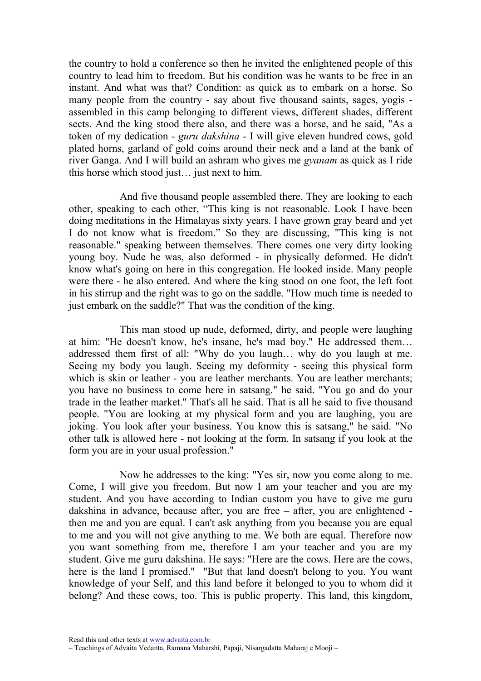the country to hold a conference so then he invited the enlightened people of this country to lead him to freedom. But his condition was he wants to be free in an instant. And what was that? Condition: as quick as to embark on a horse. So many people from the country - say about five thousand saints, sages, yogis assembled in this camp belonging to different views, different shades, different sects. And the king stood there also, and there was a horse, and he said, "As a token of my dedication - guru dakshina - I will give eleven hundred cows, gold plated horns, garland of gold coins around their neck and a land at the bank of river Ganga. And I will build an ashram who gives me gyanam as quick as I ride this horse which stood just… just next to him.

And five thousand people assembled there. They are looking to each other, speaking to each other, "This king is not reasonable. Look I have been doing meditations in the Himalayas sixty years. I have grown gray beard and yet I do not know what is freedom." So they are discussing, "This king is not reasonable." speaking between themselves. There comes one very dirty looking young boy. Nude he was, also deformed - in physically deformed. He didn't know what's going on here in this congregation. He looked inside. Many people were there - he also entered. And where the king stood on one foot, the left foot in his stirrup and the right was to go on the saddle. "How much time is needed to just embark on the saddle?" That was the condition of the king.

This man stood up nude, deformed, dirty, and people were laughing at him: "He doesn't know, he's insane, he's mad boy." He addressed them… addressed them first of all: "Why do you laugh… why do you laugh at me. Seeing my body you laugh. Seeing my deformity - seeing this physical form which is skin or leather - you are leather merchants. You are leather merchants; you have no business to come here in satsang." he said. "You go and do your trade in the leather market." That's all he said. That is all he said to five thousand people. "You are looking at my physical form and you are laughing, you are joking. You look after your business. You know this is satsang," he said. "No other talk is allowed here - not looking at the form. In satsang if you look at the form you are in your usual profession."

Now he addresses to the king: "Yes sir, now you come along to me. Come, I will give you freedom. But now I am your teacher and you are my student. And you have according to Indian custom you have to give me guru dakshina in advance, because after, you are free – after, you are enlightened then me and you are equal. I can't ask anything from you because you are equal to me and you will not give anything to me. We both are equal. Therefore now you want something from me, therefore I am your teacher and you are my student. Give me guru dakshina. He says: "Here are the cows. Here are the cows, here is the land I promised." "But that land doesn't belong to you. You want knowledge of your Self, and this land before it belonged to you to whom did it belong? And these cows, too. This is public property. This land, this kingdom,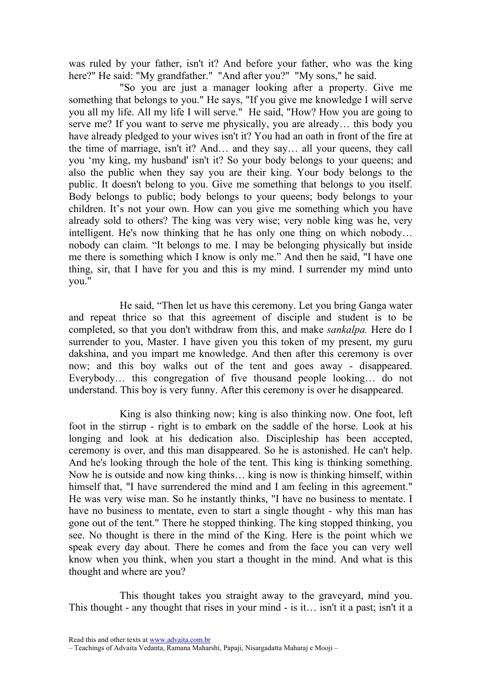was ruled by your father, isn't it? And before your father, who was the king here?" He said: "My grandfather." "And after you?" "My sons," he said.

"So you are just a manager looking after a property. Give me something that belongs to you." He says, "If you give me knowledge I will serve you all my life. All my life I will serve." He said, "How? How you are going to serve me? If you want to serve me physically, you are already… this body you have already pledged to your wives isn't it? You had an oath in front of the fire at the time of marriage, isn't it? And… and they say… all your queens, they call you 'my king, my husband' isn't it? So your body belongs to your queens; and also the public when they say you are their king. Your body belongs to the public. It doesn't belong to you. Give me something that belongs to you itself. Body belongs to public; body belongs to your queens; body belongs to your children. It's not your own. How can you give me something which you have already sold to others? The king was very wise; very noble king was he, very intelligent. He's now thinking that he has only one thing on which nobody… nobody can claim. "It belongs to me. I may be belonging physically but inside me there is something which I know is only me." And then he said, "I have one thing, sir, that I have for you and this is my mind. I surrender my mind unto you."

He said, "Then let us have this ceremony. Let you bring Ganga water and repeat thrice so that this agreement of disciple and student is to be completed, so that you don't withdraw from this, and make sankalpa. Here do I surrender to you, Master. I have given you this token of my present, my guru dakshina, and you impart me knowledge. And then after this ceremony is over now; and this boy walks out of the tent and goes away - disappeared. Everybody… this congregation of five thousand people looking… do not understand. This boy is very funny. After this ceremony is over he disappeared.

King is also thinking now; king is also thinking now. One foot, left foot in the stirrup - right is to embark on the saddle of the horse. Look at his longing and look at his dedication also. Discipleship has been accepted, ceremony is over, and this man disappeared. So he is astonished. He can't help. And he's looking through the hole of the tent. This king is thinking something. Now he is outside and now king thinks… king is now is thinking himself, within himself that, "I have surrendered the mind and I am feeling in this agreement." He was very wise man. So he instantly thinks, "I have no business to mentate. I have no business to mentate, even to start a single thought - why this man has gone out of the tent." There he stopped thinking. The king stopped thinking, you see. No thought is there in the mind of the King. Here is the point which we speak every day about. There he comes and from the face you can very well know when you think, when you start a thought in the mind. And what is this thought and where are you?

This thought takes you straight away to the graveyard, mind you. This thought - any thought that rises in your mind - is it… isn't it a past; isn't it a

<sup>–</sup> Teachings of Advaita Vedanta, Ramana Maharshi, Papaji, Nisargadatta Maharaj e Mooji –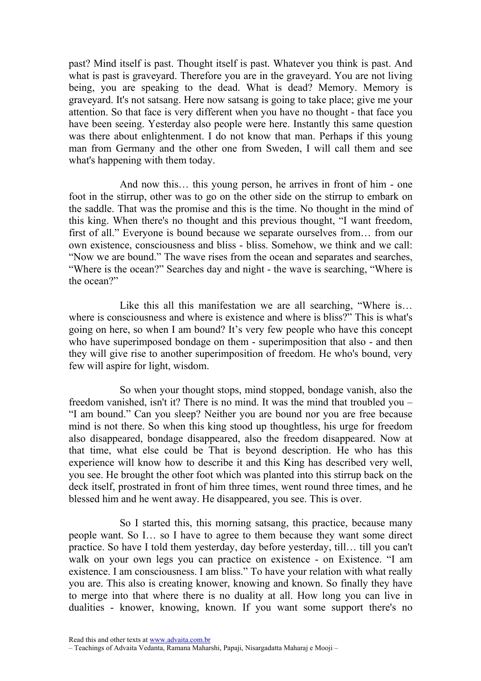past? Mind itself is past. Thought itself is past. Whatever you think is past. And what is past is graveyard. Therefore you are in the graveyard. You are not living being, you are speaking to the dead. What is dead? Memory. Memory is graveyard. It's not satsang. Here now satsang is going to take place; give me your attention. So that face is very different when you have no thought - that face you have been seeing. Yesterday also people were here. Instantly this same question was there about enlightenment. I do not know that man. Perhaps if this young man from Germany and the other one from Sweden, I will call them and see what's happening with them today.

And now this… this young person, he arrives in front of him - one foot in the stirrup, other was to go on the other side on the stirrup to embark on the saddle. That was the promise and this is the time. No thought in the mind of this king. When there's no thought and this previous thought, "I want freedom, first of all." Everyone is bound because we separate ourselves from… from our own existence, consciousness and bliss - bliss. Somehow, we think and we call: "Now we are bound." The wave rises from the ocean and separates and searches, "Where is the ocean?" Searches day and night - the wave is searching, "Where is the ocean?"

Like this all this manifestation we are all searching, "Where is... where is consciousness and where is existence and where is bliss?" This is what's going on here, so when I am bound? It's very few people who have this concept who have superimposed bondage on them - superimposition that also - and then they will give rise to another superimposition of freedom. He who's bound, very few will aspire for light, wisdom.

So when your thought stops, mind stopped, bondage vanish, also the freedom vanished, isn't it? There is no mind. It was the mind that troubled you – "I am bound." Can you sleep? Neither you are bound nor you are free because mind is not there. So when this king stood up thoughtless, his urge for freedom also disappeared, bondage disappeared, also the freedom disappeared. Now at that time, what else could be That is beyond description. He who has this experience will know how to describe it and this King has described very well, you see. He brought the other foot which was planted into this stirrup back on the deck itself, prostrated in front of him three times, went round three times, and he blessed him and he went away. He disappeared, you see. This is over.

So I started this, this morning satsang, this practice, because many people want. So I… so I have to agree to them because they want some direct practice. So have I told them yesterday, day before yesterday, till… till you can't walk on your own legs you can practice on existence - on Existence. "I am existence. I am consciousness. I am bliss." To have your relation with what really you are. This also is creating knower, knowing and known. So finally they have to merge into that where there is no duality at all. How long you can live in dualities - knower, knowing, known. If you want some support there's no

Read this and other texts at www.advaita.com.br

<sup>–</sup> Teachings of Advaita Vedanta, Ramana Maharshi, Papaji, Nisargadatta Maharaj e Mooji –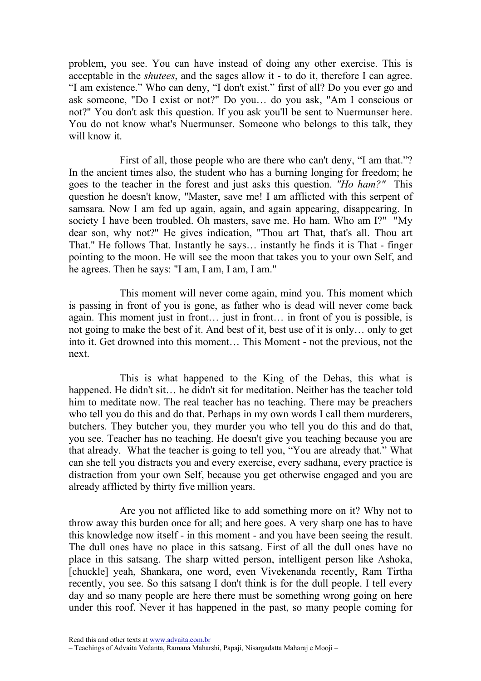problem, you see. You can have instead of doing any other exercise. This is acceptable in the shutees, and the sages allow it - to do it, therefore I can agree. "I am existence." Who can deny, "I don't exist." first of all? Do you ever go and ask someone, "Do I exist or not?" Do you… do you ask, "Am I conscious or not?" You don't ask this question. If you ask you'll be sent to Nuermunser here. You do not know what's Nuermunser. Someone who belongs to this talk, they will know it.

First of all, those people who are there who can't deny, "I am that."? In the ancient times also, the student who has a burning longing for freedom; he goes to the teacher in the forest and just asks this question. "Ho ham?" This question he doesn't know, "Master, save me! I am afflicted with this serpent of samsara. Now I am fed up again, again, and again appearing, disappearing. In society I have been troubled. Oh masters, save me. Ho ham. Who am I?" "My dear son, why not?" He gives indication, "Thou art That, that's all. Thou art That." He follows That. Instantly he says… instantly he finds it is That - finger pointing to the moon. He will see the moon that takes you to your own Self, and he agrees. Then he says: "I am, I am, I am, I am."

This moment will never come again, mind you. This moment which is passing in front of you is gone, as father who is dead will never come back again. This moment just in front… just in front… in front of you is possible, is not going to make the best of it. And best of it, best use of it is only… only to get into it. Get drowned into this moment… This Moment - not the previous, not the next.

This is what happened to the King of the Dehas, this what is happened. He didn't sit... he didn't sit for meditation. Neither has the teacher told him to meditate now. The real teacher has no teaching. There may be preachers who tell you do this and do that. Perhaps in my own words I call them murderers, butchers. They butcher you, they murder you who tell you do this and do that, you see. Teacher has no teaching. He doesn't give you teaching because you are that already. What the teacher is going to tell you, "You are already that." What can she tell you distracts you and every exercise, every sadhana, every practice is distraction from your own Self, because you get otherwise engaged and you are already afflicted by thirty five million years.

Are you not afflicted like to add something more on it? Why not to throw away this burden once for all; and here goes. A very sharp one has to have this knowledge now itself - in this moment - and you have been seeing the result. The dull ones have no place in this satsang. First of all the dull ones have no place in this satsang. The sharp witted person, intelligent person like Ashoka, [chuckle] yeah, Shankara, one word, even Vivekenanda recently, Ram Tirtha recently, you see. So this satsang I don't think is for the dull people. I tell every day and so many people are here there must be something wrong going on here under this roof. Never it has happened in the past, so many people coming for

Read this and other texts at www.advaita.com.br

<sup>–</sup> Teachings of Advaita Vedanta, Ramana Maharshi, Papaji, Nisargadatta Maharaj e Mooji –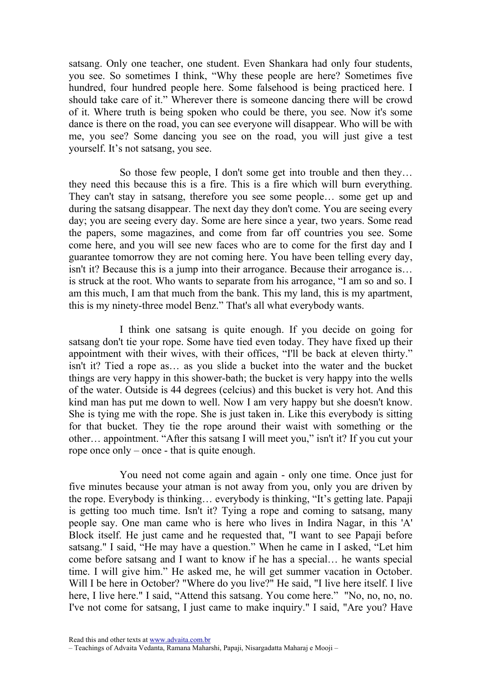satsang. Only one teacher, one student. Even Shankara had only four students, you see. So sometimes I think, "Why these people are here? Sometimes five hundred, four hundred people here. Some falsehood is being practiced here. I should take care of it." Wherever there is someone dancing there will be crowd of it. Where truth is being spoken who could be there, you see. Now it's some dance is there on the road, you can see everyone will disappear. Who will be with me, you see? Some dancing you see on the road, you will just give a test yourself. It's not satsang, you see.

So those few people, I don't some get into trouble and then they… they need this because this is a fire. This is a fire which will burn everything. They can't stay in satsang, therefore you see some people… some get up and during the satsang disappear. The next day they don't come. You are seeing every day; you are seeing every day. Some are here since a year, two years. Some read the papers, some magazines, and come from far off countries you see. Some come here, and you will see new faces who are to come for the first day and I guarantee tomorrow they are not coming here. You have been telling every day, isn't it? Because this is a jump into their arrogance. Because their arrogance is… is struck at the root. Who wants to separate from his arrogance, "I am so and so. I am this much, I am that much from the bank. This my land, this is my apartment, this is my ninety-three model Benz." That's all what everybody wants.

I think one satsang is quite enough. If you decide on going for satsang don't tie your rope. Some have tied even today. They have fixed up their appointment with their wives, with their offices, "I'll be back at eleven thirty." isn't it? Tied a rope as… as you slide a bucket into the water and the bucket things are very happy in this shower-bath; the bucket is very happy into the wells of the water. Outside is 44 degrees (celcius) and this bucket is very hot. And this kind man has put me down to well. Now I am very happy but she doesn't know. She is tying me with the rope. She is just taken in. Like this everybody is sitting for that bucket. They tie the rope around their waist with something or the other… appointment. "After this satsang I will meet you," isn't it? If you cut your rope once only – once - that is quite enough.

You need not come again and again - only one time. Once just for five minutes because your atman is not away from you, only you are driven by the rope. Everybody is thinking… everybody is thinking, "It's getting late. Papaji is getting too much time. Isn't it? Tying a rope and coming to satsang, many people say. One man came who is here who lives in Indira Nagar, in this 'A' Block itself. He just came and he requested that, "I want to see Papaji before satsang." I said, "He may have a question." When he came in I asked, "Let him come before satsang and I want to know if he has a special… he wants special time. I will give him." He asked me, he will get summer vacation in October. Will I be here in October? "Where do you live?" He said, "I live here itself. I live here, I live here." I said, "Attend this satsang. You come here." "No, no, no, no. I've not come for satsang, I just came to make inquiry." I said, "Are you? Have

Read this and other texts at www.advaita.com.br

<sup>–</sup> Teachings of Advaita Vedanta, Ramana Maharshi, Papaji, Nisargadatta Maharaj e Mooji –